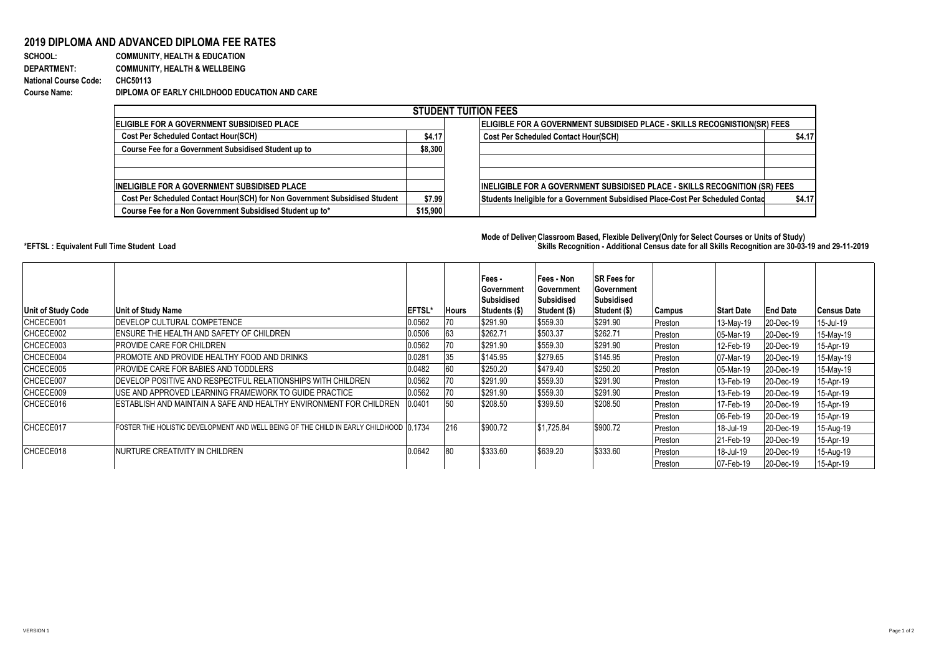## **2019 DIPLOMA AND ADVANCED DIPLOMA FEE RATES**<br>SCHOOL: COMMUNITY, HEALTH & EDUCATION

**COMMUNITY, HEALTH & EDUCATION DEPARTMENT: COMMUNITY, HEALTH & WELLBEING National Course Code: CHC50113 Course Name: DIPLOMA OF EARLY CHILDHOOD EDUCATION AND CARE**

| <b>STUDENT TUITION FEES</b>                                                |          |                                                                                           |  |  |  |  |  |  |  |
|----------------------------------------------------------------------------|----------|-------------------------------------------------------------------------------------------|--|--|--|--|--|--|--|
| <b>IELIGIBLE FOR A GOVERNMENT SUBSIDISED PLACE</b>                         |          | ELIGIBLE FOR A GOVERNMENT SUBSIDISED PLACE - SKILLS RECOGNISTION(SR) FEES                 |  |  |  |  |  |  |  |
| Cost Per Scheduled Contact Hour(SCH)                                       | \$4.17   | <b>Cost Per Scheduled Contact Hour(SCH)</b><br>\$4.17                                     |  |  |  |  |  |  |  |
| Course Fee for a Government Subsidised Student up to                       | \$8,300  |                                                                                           |  |  |  |  |  |  |  |
|                                                                            |          |                                                                                           |  |  |  |  |  |  |  |
|                                                                            |          |                                                                                           |  |  |  |  |  |  |  |
| INELIGIBLE FOR A GOVERNMENT SUBSIDISED PLACE                               |          | <b>INELIGIBLE FOR A GOVERNMENT SUBSIDISED PLACE - SKILLS RECOGNITION (SR) FEES</b>        |  |  |  |  |  |  |  |
| Cost Per Scheduled Contact Hour(SCH) for Non Government Subsidised Student | \$7.99   | Students Ineligible for a Government Subsidised Place-Cost Per Scheduled Contad<br>\$4.17 |  |  |  |  |  |  |  |
| Course Fee for a Non Government Subsidised Student up to*                  | \$15,900 |                                                                                           |  |  |  |  |  |  |  |

## **Mode of Delivery:Classroom Based, Flexible Delivery(Only for Select Courses or Units of Study) \*EFTSL : Equivalent Full Time Student Load Skills Recognition - Additional Census date for all Skills Recognition are 30-03-19 and 29-11-2019**

| Unit of Study Code | <b>Unit of Study Name</b>                                                              | <b>IEFTSL</b> | <b>Hours</b> | Fees -<br><b>Government</b><br>Subsidised<br>Students (\$) | lFees - Non<br>Government<br><b>Subsidised</b><br>Student (\$) | <b>SR Fees for</b><br><b>IGovernment</b><br>Subsidised<br>Student (\$) | Campus  | <b>Start Date</b> | <b>End Date</b> | <b>Census Date</b> |
|--------------------|----------------------------------------------------------------------------------------|---------------|--------------|------------------------------------------------------------|----------------------------------------------------------------|------------------------------------------------------------------------|---------|-------------------|-----------------|--------------------|
| CHCECE001          | <b>IDEVELOP CULTURAL COMPETENCE</b>                                                    | 0.0562        | 70           | \$291.90                                                   | \$559.30                                                       | \$291.90                                                               | Preston | 13-May-19         | 20-Dec-19       | 15-Jul-19          |
| CHCECE002          | <b>IENSURE THE HEALTH AND SAFETY OF CHILDREN</b>                                       | 0.0506        | 63           | \$262.71                                                   | \$503.37                                                       | \$262.71                                                               | Preston | 05-Mar-19         | 20-Dec-19       | 15-May-19          |
| CHCECE003          | <b>IPROVIDE CARE FOR CHILDREN</b>                                                      | 0.0562        | 70           | \$291.90                                                   | \$559.30                                                       | \$291.90                                                               | Preston | 12-Feb-19         | 20-Dec-19       | 15-Apr-19          |
| CHCECE004          | <b>IPROMOTE AND PROVIDE HEALTHY FOOD AND DRINKS</b>                                    | 0.0281        | 35           | \$145.95                                                   | \$279.65                                                       | \$145.95                                                               | Preston | 07-Mar-19         | 20-Dec-19       | 15-May-19          |
| CHCECE005          | <b>IPROVIDE CARE FOR BABIES AND TODDLERS</b>                                           | 0.0482        | 60           | \$250.20                                                   | \$479.40                                                       | \$250.20                                                               | Preston | 05-Mar-19         | 20-Dec-19       | 15-May-19          |
| CHCECE007          | <b>IDEVELOP POSITIVE AND RESPECTFUL RELATIONSHIPS WITH CHILDREN</b>                    | 0.0562        | 70           | \$291.90                                                   | \$559.30                                                       | \$291.90                                                               | Preston | 13-Feb-19         | 20-Dec-19       | 15-Apr-19          |
| CHCECE009          | <b>IUSE AND APPROVED LEARNING FRAMEWORK TO GUIDE PRACTICE</b>                          | 0.0562        | 70           | \$291.90                                                   | \$559.30                                                       | \$291.90                                                               | Preston | 13-Feb-19         | 20-Dec-19       | 15-Apr-19          |
| CHCECE016          | <b>IESTABLISH AND MAINTAIN A SAFE AND HEALTHY ENVIRONMENT FOR CHILDREN</b>             | 0.0401        | 50           | \$208.50                                                   | \$399.50                                                       | \$208.50                                                               | Preston | 17-Feb-19         | 20-Dec-19       | 15-Apr-19          |
|                    |                                                                                        |               |              |                                                            |                                                                |                                                                        | Preston | 06-Feb-19         | 20-Dec-19       | 15-Apr-19          |
| CHCECE017          | FOSTER THE HOLISTIC DEVELOPMENT AND WELL BEING OF THE CHILD IN EARLY CHILDHOOD 10.1734 |               | 216          | \$900.72                                                   | \$1,725.84                                                     | \$900.72                                                               | Preston | 18-Jul-19         | 20-Dec-19       | 15-Aug-19          |
|                    |                                                                                        |               |              |                                                            |                                                                |                                                                        | Preston | 21-Feb-19         | 20-Dec-19       | 15-Apr-19          |
| CHCECE018          | INURTURE CREATIVITY IN CHILDREN                                                        | 0.0642        | 80           | \$333.60                                                   | \$639.20                                                       | \$333.60                                                               | Preston | 18-Jul-19         | 20-Dec-19       | 15-Aug-19          |
|                    |                                                                                        |               |              |                                                            |                                                                |                                                                        | Preston | 07-Feb-19         | 20-Dec-19       | 15-Apr-19          |